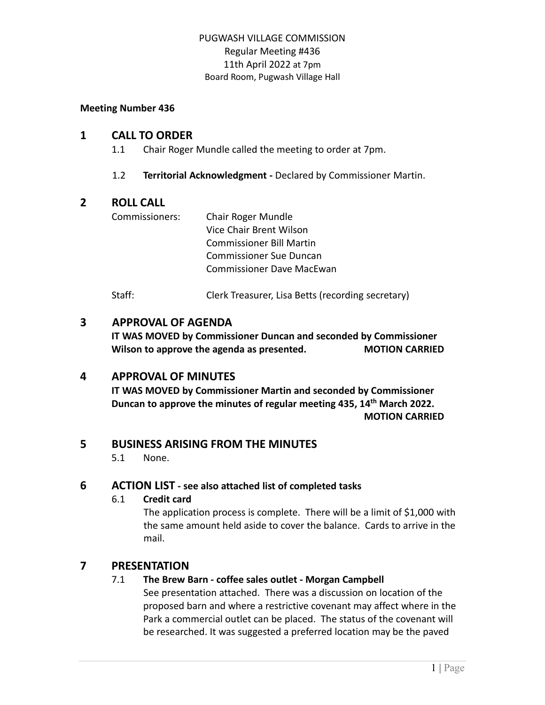#### **Meeting Number 436**

#### **1 CALL TO ORDER**

- 1.1 Chair Roger Mundle called the meeting to order at 7pm.
- 1.2 **Territorial Acknowledgment -** Declared by Commissioner Martin.

# **2 ROLL CALL**

Commissioners: Chair Roger Mundle Vice Chair Brent Wilson Commissioner Bill Martin Commissioner Sue Duncan Commissioner Dave MacEwan

Staff: Clerk Treasurer, Lisa Betts (recording secretary)

# **3 APPROVAL OF AGENDA**

**IT WAS MOVED by Commissioner Duncan and seconded by Commissioner Wilson to approve the agenda as presented. MOTION CARRIED**

# **4 APPROVAL OF MINUTES**

**IT WAS MOVED by Commissioner Martin and seconded by Commissioner Duncan to approve the minutes of regular meeting 435, 14th March 2022. MOTION CARRIED**

# **5 BUSINESS ARISING FROM THE MINUTES**

5.1 None.

# **6 ACTION LIST - see also attached list of completed tasks**

#### 6.1 **Credit card**

The application process is complete. There will be a limit of \$1,000 with the same amount held aside to cover the balance. Cards to arrive in the mail.

# **7 PRESENTATION**

# 7.1 **The Brew Barn - coffee sales outlet - Morgan Campbell**

See presentation attached. There was a discussion on location of the proposed barn and where a restrictive covenant may affect where in the Park a commercial outlet can be placed. The status of the covenant will be researched. It was suggested a preferred location may be the paved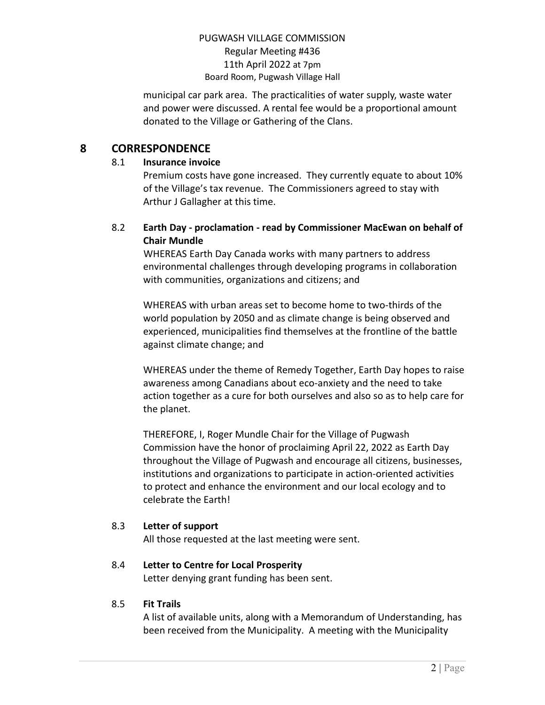municipal car park area. The practicalities of water supply, waste water and power were discussed. A rental fee would be a proportional amount donated to the Village or Gathering of the Clans.

# **8 CORRESPONDENCE**

#### 8.1 **Insurance invoice**

Premium costs have gone increased. They currently equate to about 10% of the Village's tax revenue. The Commissioners agreed to stay with Arthur J Gallagher at this time.

# 8.2 **Earth Day - proclamation - read by Commissioner MacEwan on behalf of Chair Mundle**

WHEREAS Earth Day Canada works with many partners to address environmental challenges through developing programs in collaboration with communities, organizations and citizens; and

WHEREAS with urban areas set to become home to two-thirds of the world population by 2050 and as climate change is being observed and experienced, municipalities find themselves at the frontline of the battle against climate change; and

WHEREAS under the theme of Remedy Together, Earth Day hopes to raise awareness among Canadians about eco-anxiety and the need to take action together as a cure for both ourselves and also so as to help care for the planet.

THEREFORE, I, Roger Mundle Chair for the Village of Pugwash Commission have the honor of proclaiming April 22, 2022 as Earth Day throughout the Village of Pugwash and encourage all citizens, businesses, institutions and organizations to participate in action-oriented activities to protect and enhance the environment and our local ecology and to celebrate the Earth!

# 8.3 **Letter of support**

All those requested at the last meeting were sent.

# 8.4 **Letter to Centre for Local Prosperity**

Letter denying grant funding has been sent.

# 8.5 **Fit Trails**

A list of available units, along with a Memorandum of Understanding, has been received from the Municipality. A meeting with the Municipality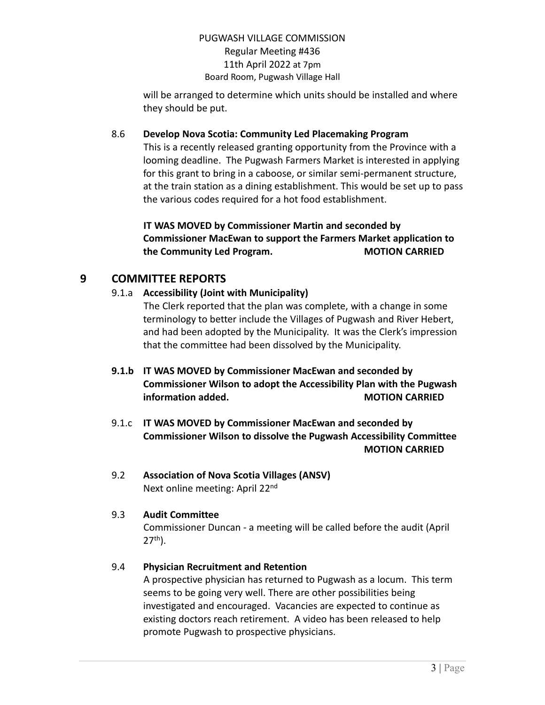will be arranged to determine which units should be installed and where they should be put.

#### 8.6 **Develop Nova Scotia: Community Led Placemaking Program**

This is a recently released granting opportunity from the Province with a looming deadline. The Pugwash Farmers Market is interested in applying for this grant to bring in a caboose, or similar semi-permanent structure, at the train station as a dining establishment. This would be set up to pass the various codes required for a hot food establishment.

# **IT WAS MOVED by Commissioner Martin and seconded by Commissioner MacEwan to support the Farmers Market application to the Community Led Program. MOTION CARRIED**

# **9 COMMITTEE REPORTS**

# 9.1.a **Accessibility (Joint with Municipality)**

The Clerk reported that the plan was complete, with a change in some terminology to better include the Villages of Pugwash and River Hebert, and had been adopted by the Municipality. It was the Clerk's impression that the committee had been dissolved by the Municipality.

# **9.1.b IT WAS MOVED by Commissioner MacEwan and seconded by Commissioner Wilson to adopt the Accessibility Plan with the Pugwash information added. MOTION CARRIED**

- 9.1.c **IT WAS MOVED by Commissioner MacEwan and seconded by Commissioner Wilson to dissolve the Pugwash Accessibility Committee MOTION CARRIED**
- 9.2 **Association of Nova Scotia Villages (ANSV)** Next online meeting: April 22<sup>nd</sup>

# 9.3 **Audit Committee**

Commissioner Duncan - a meeting will be called before the audit (April  $27<sup>th</sup>$ ).

# 9.4 **Physician Recruitment and Retention**

A prospective physician has returned to Pugwash as a locum. This term seems to be going very well. There are other possibilities being investigated and encouraged. Vacancies are expected to continue as existing doctors reach retirement. A video has been released to help promote Pugwash to prospective physicians.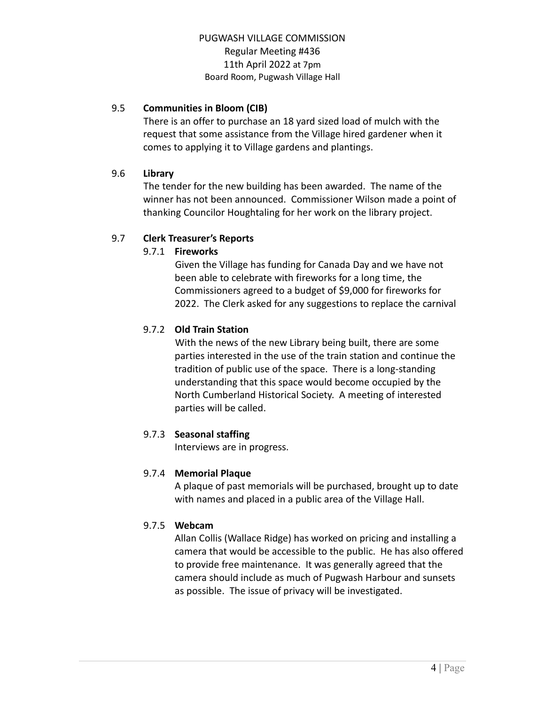# 9.5 **Communities in Bloom (CIB)**

There is an offer to purchase an 18 yard sized load of mulch with the request that some assistance from the Village hired gardener when it comes to applying it to Village gardens and plantings.

# 9.6 **Library**

The tender for the new building has been awarded. The name of the winner has not been announced. Commissioner Wilson made a point of thanking Councilor Houghtaling for her work on the library project.

# 9.7 **Clerk Treasurer's Reports**

# 9.7.1 **Fireworks**

Given the Village has funding for Canada Day and we have not been able to celebrate with fireworks for a long time, the Commissioners agreed to a budget of \$9,000 for fireworks for 2022. The Clerk asked for any suggestions to replace the carnival

# 9.7.2 **Old Train Station**

With the news of the new Library being built, there are some parties interested in the use of the train station and continue the tradition of public use of the space. There is a long-standing understanding that this space would become occupied by the North Cumberland Historical Society. A meeting of interested parties will be called.

# 9.7.3 **Seasonal staffing**

Interviews are in progress.

# 9.7.4 **Memorial Plaque**

A plaque of past memorials will be purchased, brought up to date with names and placed in a public area of the Village Hall.

# 9.7.5 **Webcam**

Allan Collis (Wallace Ridge) has worked on pricing and installing a camera that would be accessible to the public. He has also offered to provide free maintenance. It was generally agreed that the camera should include as much of Pugwash Harbour and sunsets as possible. The issue of privacy will be investigated.